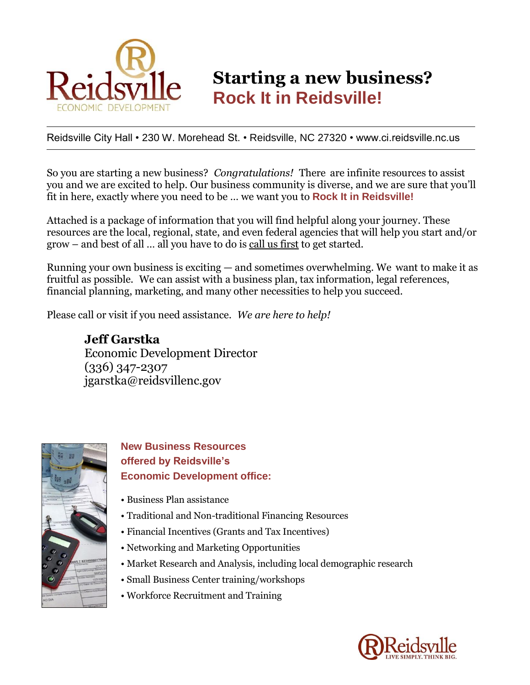

# **Starting a new business? Rock It in Reidsville!**

Reidsville City Hall • 230 W. Morehead St. • Reidsville, NC 27320 • www.ci.reidsville.nc.us

So you are starting a new business? *Congratulations!* There are infinite resources to assist you and we are excited to help. Our business community is diverse, and we are sure that you'll fit in here, exactly where you need to be … we want you to **Rock It in Reidsville!**

Attached is a package of information that you will find helpful along your journey. These resources are the local, regional, state, and even federal agencies that will help you start and/or grow – and best of all … all you have to do is call us first to get started.

Running your own business is exciting — and sometimes overwhelming. We want to make it as fruitful as possible. We can assist with a business plan, tax information, legal references, financial planning, marketing, and many other necessities to help you succeed.

Please call or visit if you need assistance. *We are here to help!*

**Jeff Garstka** Economic Development Director (336) 347-2307 [jgarstka@r](mailto:dbarrick@rutherfordton.net)eidsvillenc.gov



# **New Business Resources offered by Reidsville's Economic Development office:**

- Business Plan assistance
- Traditional and Non-traditional Financing Resources
- Financial Incentives (Grants and Tax Incentives)
- Networking and Marketing Opportunities
- Market Research and Analysis, including local demographic research
- Small Business Center training/workshops
- Workforce Recruitment and Training

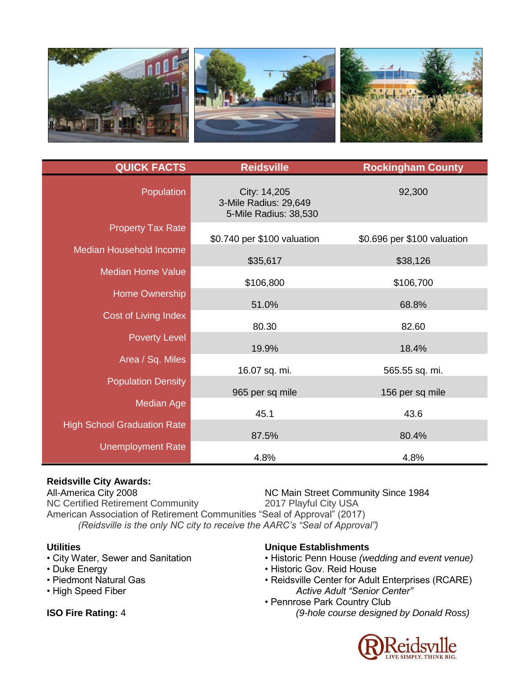

| <b>QUICK FACTS</b>                 | <b>Reidsville</b>                                              | <b>Rockingham County</b>    |
|------------------------------------|----------------------------------------------------------------|-----------------------------|
| Population                         | City: 14,205<br>3-Mile Radius: 29,649<br>5-Mile Radius: 38,530 | 92,300                      |
| <b>Property Tax Rate</b>           | \$0.740 per \$100 valuation                                    | \$0.696 per \$100 valuation |
| Median Household Income            | \$35,617                                                       | \$38,126                    |
| <b>Median Home Value</b>           | \$106,800                                                      | \$106,700                   |
| Home Ownership                     | 51.0%                                                          | 68.8%                       |
| Cost of Living Index               | 80.30                                                          | 82.60                       |
| <b>Poverty Level</b>               | 19.9%                                                          | 18.4%                       |
| Area / Sq. Miles                   | 16.07 sq. mi.                                                  | 565.55 sq. mi.              |
| <b>Population Density</b>          | 965 per sq mile                                                | 156 per sq mile             |
| <b>Median Age</b>                  | 45.1                                                           | 43.6                        |
| <b>High School Graduation Rate</b> | 87.5%                                                          | 80.4%                       |
| <b>Unemployment Rate</b>           | 4.8%                                                           | 4.8%                        |

# **Reidsville City Awards:**

NC Main Street Community Since 1984 NC Certified Retirement Community 2017 Playful City USA American Association of Retirement Communities "Seal of Approval" (2017) *(Reidsville is the only NC city to receive the AARC's "Seal of Approval")*

- 
- 
- 
- 

# **Utilities Unique Establishments**

- City Water, Sewer and Sanitation Historic Penn House *(wedding and event venue)*
	-
- Duke Energy<br>• Piedmont Natural Gas<br>• Reidsville Center for Adult • Piedmont Natural Gas • Reidsville Center for Adult Enterprises (RCARE) • High Speed Fiber *Active Adult "Senior Center"*
- Pennrose Park Country Club **ISO Fire Rating:** 4 *(9-hole course designed by Donald Ross)*

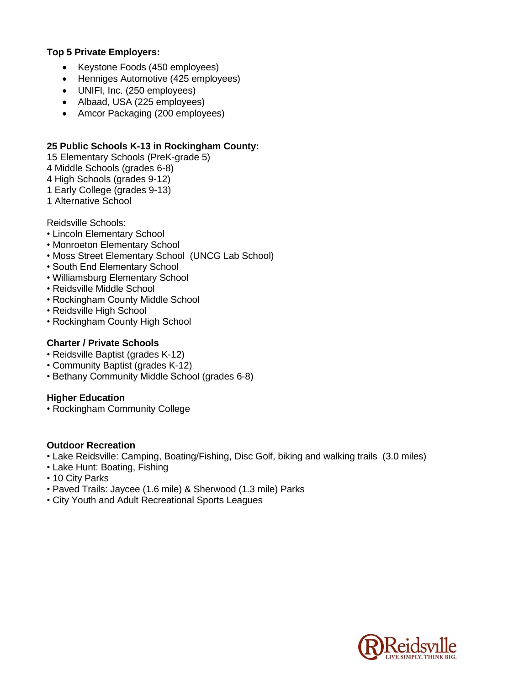#### **Top 5 Private Employers:**

- Keystone Foods (450 employees)
- Henniges Automotive (425 employees)
- UNIFI, Inc. (250 employees)
- Albaad, USA (225 employees)
- Amcor Packaging (200 employees)

#### **25 Public Schools K-13 in Rockingham County:**

15 Elementary Schools (PreK-grade 5)

- 4 Middle Schools (grades 6-8)
- 4 High Schools (grades 9-12)
- 1 Early College (grades 9-13)
- 1 Alternative School

#### Reidsville Schools:

- Lincoln Elementary School
- Monroeton Elementary School
- Moss Street Elementary School (UNCG Lab School)
- South End Elementary School
- Williamsburg Elementary School
- Reidsville Middle School
- Rockingham County Middle School
- Reidsville High School
- Rockingham County High School

#### **Charter / Private Schools**

- Reidsville Baptist (grades K-12)
- Community Baptist (grades K-12)
- Bethany Community Middle School (grades 6-8)

#### **Higher Education**

• Rockingham Community College

#### **Outdoor Recreation**

- Lake Reidsville: Camping, Boating/Fishing, Disc Golf, biking and walking trails (3.0 miles)
- Lake Hunt: Boating, Fishing
- 10 City Parks
- Paved Trails: Jaycee (1.6 mile) & Sherwood (1.3 mile) Parks
- City Youth and Adult Recreational Sports Leagues

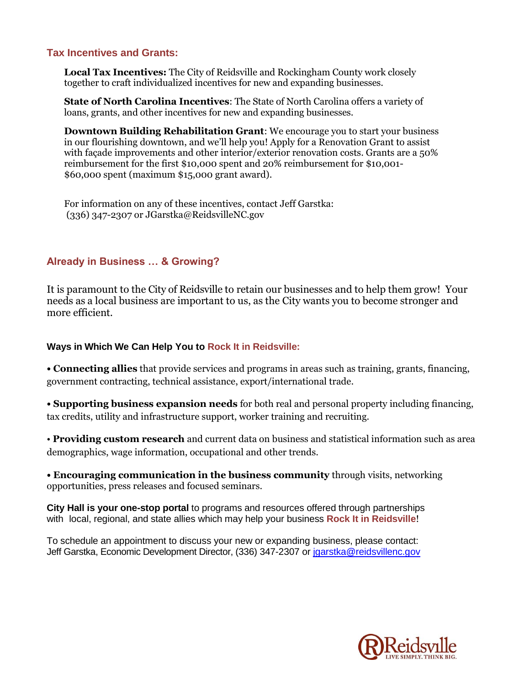#### **Tax Incentives and Grants:**

**Local Tax Incentives:** The City of Reidsville and Rockingham County work closely together to craft individualized incentives for new and expanding businesses.

**State of North Carolina Incentives**: The State of North Carolina offers a variety of loans, grants, and other incentives for new and expanding businesses.

**Downtown Building Rehabilitation Grant**: We encourage you to start your business in our flourishing downtown, and we'll help you! Apply for a Renovation Grant to assist with façade improvements and other interior/exterior renovation costs. Grants are a 50% reimbursement for the first \$10,000 spent and 20% reimbursement for \$10,001- \$60,000 spent (maximum \$15,000 grant award).

For information on any of these incentives, contact Jeff Garstka: (336) 347-2307 or [JGarstka@ReidsvilleNC.gov](mailto:JGarstka@ReidsvilleNC.gov)

### **Already in Business … & Growing?**

It is paramount to the City of Reidsville to retain our businesses and to help them grow! Your needs as a local business are important to us, as the City wants you to become stronger and more efficient.

#### **Ways in Which We Can Help You to Rock It in Reidsville:**

**• Connecting allies** that provide services and programs in areas such as training, grants, financing, government contracting, technical assistance, export/international trade.

**• Supporting business expansion needs** for both real and personal property including financing, tax credits, utility and infrastructure support, worker training and recruiting.

• **Providing custom research** and current data on business and statistical information such as area demographics, wage information, occupational and other trends.

**• Encouraging communication in the business community** through visits, networking opportunities, press releases and focused seminars.

**City Hall is your one-stop portal** to programs and resources offered through partnerships with local, regional, and state allies which may help your business **Rock It in Reidsville**!

To schedule an appointment to discuss your new or expanding business, please contact: Jeff Garstka, Economic Development Director, (336) 347-2307 or [jgarstka@reidsvillenc.gov](mailto:jgarstka@reidsvillenc.gov)

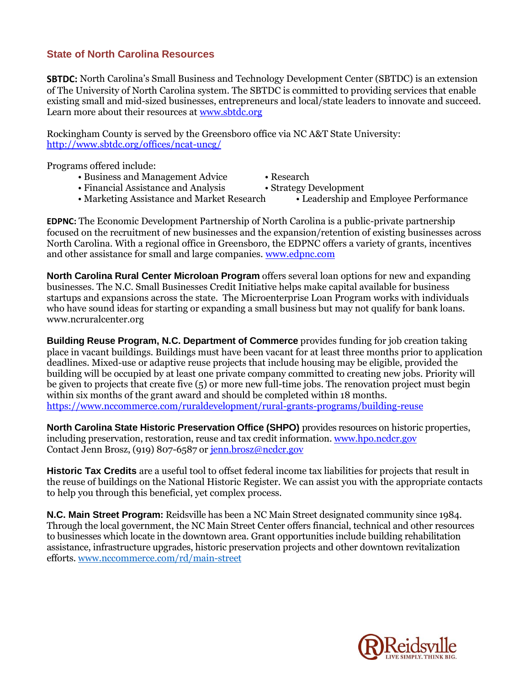### **State of North Carolina Resources**

**SBTDC:** North Carolina's Small Business and Technology Development Center (SBTDC) is an extension of The University of North Carolina system. The SBTDC is committed to providing services that enable existing small and mid-sized businesses, entrepreneurs and local/state leaders to innovate and succeed. Learn more about their resources at [www.sbtdc.org](http://www.sbtdc.org/)

Rockingham County is served by the Greensboro office via NC A&T State University: <http://www.sbtdc.org/offices/ncat-uncg/>

Programs offered include:

- Business and Management Advice Research
- 
- Financial Assistance and Analysis Strategy Development
	-
- **EDPNC:** The Economic Development Partnership of North Carolina is a public-private partnership focused on the recruitment of new businesses and the expansion/retention of existing businesses across North Carolina. With a regional office in Greensboro, the EDPNC offers a variety of grants, incentives

and other assistance for small and large companies. [www.edpnc.com](http://www.edpnc.com/)

**North Carolina Rural Center Microloan Program** offers several loan options for new and expanding businesses. The N.C. Small Businesses Credit Initiative helps make capital available for business startups and expansions across the state. The Microenterprise Loan Program works with individuals who have sound ideas for starting or expanding a small business but may not qualify for bank loans. www.ncruralcenter.org

**Building Reuse Program, N.C. Department of Commerce** provides funding for job creation taking place in vacant buildings. Buildings must have been vacant for at least three months prior to application deadlines. Mixed-use or adaptive reuse projects that include housing may be eligible, provided the building will be occupied by at least one private company committed to creating new jobs. Priority will be given to projects that create five (5) or more new full-time jobs. The renovation project must begin within six months of the grant award and should be completed within 18 months. <https://www.nccommerce.com/ruraldevelopment/rural-grants-programs/building-reuse>

**North Carolina State Historic Preservation Office (SHPO)** provides resources on historic properties, including preservation, restoration, reuse and tax credit information, [www.hpo.ncdcr.gov](http://www.hpo.ncdcr.gov/) Contact Jenn Brosz, (919) 807-6587 or [jenn.brosz@ncdcr.gov](mailto:jenn.brosz@ncdcr.gov)

**Historic Tax Credits** are a useful tool to offset federal income tax liabilities for projects that result in the reuse of buildings on the National Historic Register. We can assist you with the appropriate contacts to help you through this beneficial, yet complex process.

**N.C. Main Street Program:** Reidsville has been a NC Main Street designated community since 1984. Through the local government, the NC Main Street Center offers financial, technical and other resources to businesses which locate in the downtown area. Grant opportunities include building rehabilitation assistance, infrastructure upgrades, historic preservation projects and other downtown revitalization efforts. [www.nccommerce.com/rd/main-street](http://www.nccommerce.com/rd/main-street)



- 
- Marketing Assistance and Market Research Leadership and Employee Performance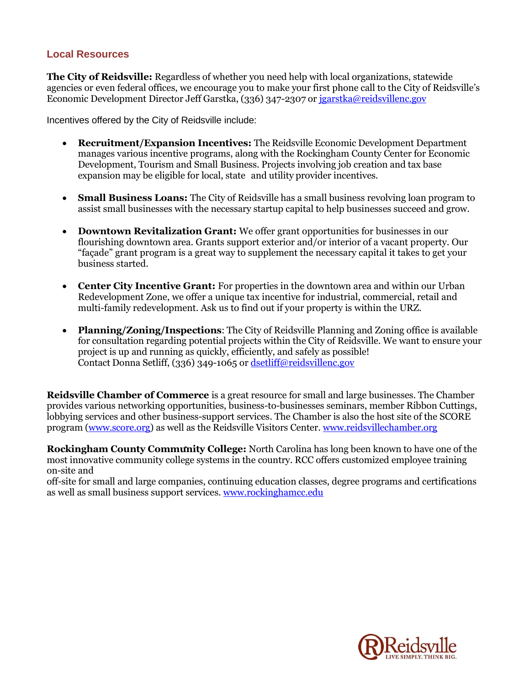#### **Local Resources**

**The City of Reidsville:** Regardless of whether you need help with local organizations, statewide agencies or even federal offices, we encourage you to make your first phone call to the City of Reidsville's Economic Development Director Jeff Garstka, (336) 347-2307 o[r jgarstka@reidsvillenc.gov](mailto:jgarstka@reidsvillenc.gov)

Incentives offered by the City of Reidsville include:

- **Recruitment/Expansion Incentives:** The Reidsville Economic Development Department manages various incentive programs, along with the Rockingham County Center for Economic Development, Tourism and Small Business. Projects involving job creation and tax base expansion may be eligible for local, state and utility provider incentives.
- **Small Business Loans:** The City of Reidsville has a small business revolving loan program to assist small businesses with the necessary startup capital to help businesses succeed and grow.
- **Downtown Revitalization Grant:** We offer grant opportunities for businesses in our flourishing downtown area. Grants support exterior and/or interior of a vacant property. Our "façade" grant program is a great way to supplement the necessary capital it takes to get your business started.
- **Center City Incentive Grant:** For properties in the downtown area and within our Urban Redevelopment Zone, we offer a unique tax incentive for industrial, commercial, retail and multi-family redevelopment. Ask us to find out if your property is within the URZ.
- **Planning/Zoning/Inspections**: The City of Reidsville Planning and Zoning office is available for consultation regarding potential projects within the City of Reidsville. We want to ensure your project is up and running as quickly, efficiently, and safely as possible! Contact Donna Setliff, (336) 349-1065 o[r dsetliff@reidsvillenc.gov](mailto:dsetliff@reidsvillenc.gov)

**Reidsville Chamber of Commerce** is a great resource for small and large businesses. The Chamber provides various networking opportunities, business-to-businesses seminars, member Ribbon Cuttings, lobbying services and other business-support services. The Chamber is also the host site of the SCORE program [\(www.score.org\)](http://www.score.org/) as well as the Reidsville Visitors Center. [www.reidsvillechamber.org](http://www.reidsvillechamber.org/)

**Rockingham County Community College:** North Carolina has long been known to have one of the most innovative community college systems in the country. RCC offers customized employee training on-site and

off-site for small and large companies, continuing education classes, degree programs and certifications as well as small business support services. [www.rockinghamcc.edu](http://www.rockinghamcc.edu/)

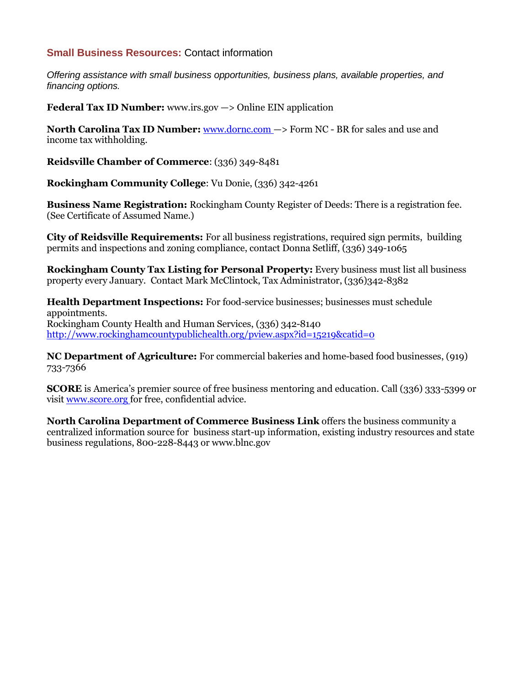#### **Small Business Resources:** Contact information

*Offering assistance with small business opportunities, business plans, available properties, and financing options.*

**Federal Tax ID Number:** [www.irs.gov](http://www.irs.gov/) —> Online EIN application

**North Carolina Tax ID Number:** [www.dornc.com](http://www.dornc.com/) —> Form NC - BR for sales and use and income tax withholding.

**Reidsville Chamber of Commerce**: (336) 349-8481

**Rockingham Community College**: Vu Donie, (336) 342-4261

**Business Name Registration:** Rockingham County Register of Deeds: There is a registration fee. (See Certificate of Assumed Name.)

**City of Reidsville Requirements:** For all business registrations, required sign permits, building permits and inspections and zoning compliance, contact Donna Setliff, (336) 349-1065

**Rockingham County Tax Listing for Personal Property:** Every business must list all business property every January. Contact Mark McClintock, Tax Administrator, (336)342-8382

**Health Department Inspections:** For food-service businesses; businesses must schedule appointments. Rockingham County Health and Human Services, (336) 342-8140 <http://www.rockinghamcountypublichealth.org/pview.aspx?id=15219&catid=0>

**NC Department of Agriculture:** For commercial bakeries and home-based food businesses, (919) 733-7366

**SCORE** is America's premier source of free business mentoring and education. Call (336) 333-5399 or visit [www.score.org f](http://www.score.org/)or free, confidential advice.

**North Carolina Department of Commerce Business Link** offers the business community a centralized information source for business start-up information, existing industry resources and state business regulations, 800-228-8443 or www.blnc.gov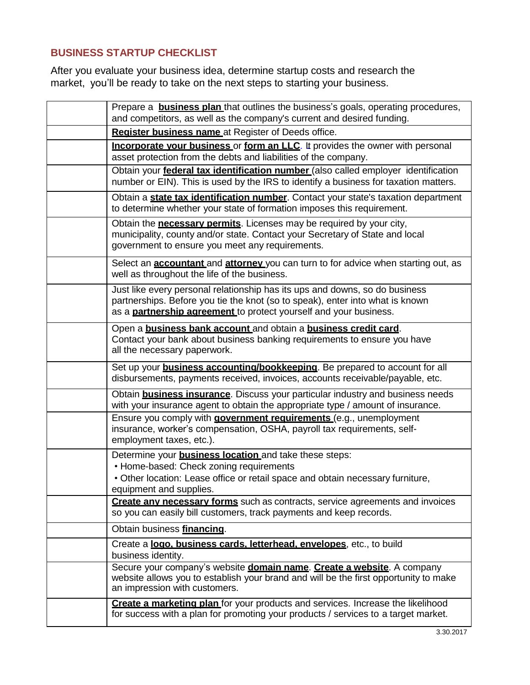## **BUSINESS STARTUP CHECKLIST**

After you evaluate your business idea, determine startup costs and research the market, you'll be ready to take on the next steps to starting your business.

| Prepare a <b>business plan</b> that outlines the business's goals, operating procedures,<br>and competitors, as well as the company's current and desired funding.                                                                       |  |
|------------------------------------------------------------------------------------------------------------------------------------------------------------------------------------------------------------------------------------------|--|
| Register business name at Register of Deeds office.                                                                                                                                                                                      |  |
| Incorporate vour business or form an LLC. It provides the owner with personal<br>asset protection from the debts and liabilities of the company.                                                                                         |  |
| Obtain your federal tax identification number (also called employer identification<br>number or EIN). This is used by the IRS to identify a business for taxation matters.                                                               |  |
| Obtain a state tax identification number. Contact your state's taxation department<br>to determine whether your state of formation imposes this requirement.                                                                             |  |
| Obtain the <b>necessary permits</b> . Licenses may be required by your city,<br>municipality, county and/or state. Contact your Secretary of State and local<br>government to ensure you meet any requirements.                          |  |
| Select an <b>accountant</b> and <b>attorney</b> you can turn to for advice when starting out, as<br>well as throughout the life of the business.                                                                                         |  |
| Just like every personal relationship has its ups and downs, so do business<br>partnerships. Before you tie the knot (so to speak), enter into what is known<br>as a <b>partnership agreement</b> to protect yourself and your business. |  |
| Open a business bank account and obtain a business credit card.<br>Contact your bank about business banking requirements to ensure you have<br>all the necessary paperwork.                                                              |  |
| Set up your <b>business accounting/bookkeeping</b> . Be prepared to account for all<br>disbursements, payments received, invoices, accounts receivable/payable, etc.                                                                     |  |
| Obtain <b>business insurance</b> . Discuss your particular industry and business needs<br>with your insurance agent to obtain the appropriate type / amount of insurance.                                                                |  |
| Ensure you comply with <b>government requirements</b> (e.g., unemployment<br>insurance, worker's compensation, OSHA, payroll tax requirements, self-<br>employment taxes, etc.).                                                         |  |
| Determine your <b>business location</b> and take these steps:<br>• Home-based: Check zoning requirements<br>• Other location: Lease office or retail space and obtain necessary furniture,<br>equipment and supplies.                    |  |
| <b>Create any necessary forms</b> such as contracts, service agreements and invoices<br>so you can easily bill customers, track payments and keep records.                                                                               |  |
| Obtain business financing.                                                                                                                                                                                                               |  |
| Create a logo. business cards. letterhead. envelopes, etc., to build<br>business identity.                                                                                                                                               |  |
| Secure your company's website <b>domain name</b> . Create a website. A company<br>website allows you to establish your brand and will be the first opportunity to make<br>an impression with customers.                                  |  |
| <b>Create a marketing plan</b> for your products and services. Increase the likelihood<br>for success with a plan for promoting your products / services to a target market.                                                             |  |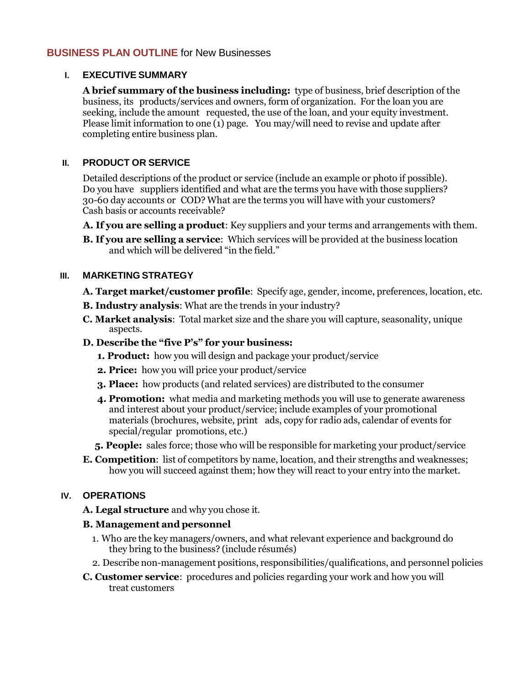#### **BUSINESS PLAN OUTLINE** for New Businesses

#### **I. EXECUTIVE SUMMARY**

**A brief summary of the business including:** type of business, brief description of the business, its products/services and owners, form of organization. For the loan you are seeking, include the amount requested, the use of the loan, and your equity investment. Please limit information to one (1) page. You may/will need to revise and update after completing entire business plan.

#### **II. PRODUCT OR SERVICE**

Detailed descriptions of the product or service (include an example or photo if possible). Do you have suppliers identified and what are the terms you have with those suppliers? 30-60 day accounts or COD? What are the terms you will have with your customers? Cash basis or accounts receivable?

**A. If you are selling a product**: Key suppliers and your terms and arrangements with them.

**B. If you are selling a service**: Which services will be provided at the business location and which will be delivered "in the field."

#### **III. MARKETING STRATEGY**

- **A. Target market/customer profile**: Specify age, gender, income, preferences, location, etc.
- **B. Industry analysis**: What are the trends in your industry?
- **C. Market analysis**: Total market size and the share you will capture, seasonality, unique aspects.

#### **D. Describe the "five P's" for your business:**

- **1. Product:** how you will design and package your product/service
- **2. Price:** how you will price your product/service
- **3. Place:** how products (and related services) are distributed to the consumer
- **4. Promotion:** what media and marketing methods you will use to generate awareness and interest about your product/service; include examples of your promotional materials (brochures, website, print ads, copy for radio ads, calendar of events for special/regular promotions, etc.)
- **5. People:** sales force; those who will be responsible for marketing your product/service
- **E. Competition**: list of competitors by name, location, and their strengths and weaknesses; how you will succeed against them; how they will react to your entry into the market.

#### **IV. OPERATIONS**

**A. Legal structure** and why you chose it.

#### **B. Management and personnel**

- 1. Who are the key managers/owners, and what relevant experience and background do they bring to the business? (include résumés)
- 2. Describe non-management positions, responsibilities/qualifications, and personnel policies
- **C. Customer service**: procedures and policies regarding your work and how you will treat customers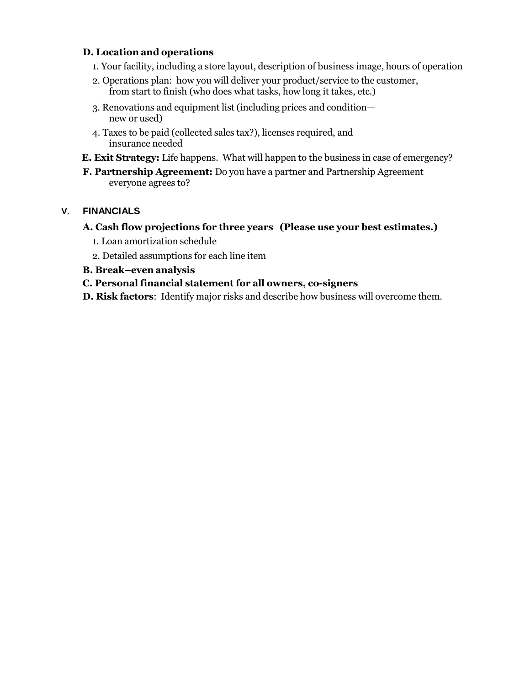#### **D. Location and operations**

- 1. Your facility, including a store layout, description of business image, hours of operation
- 2. Operations plan: how you will deliver your product/service to the customer, from start to finish (who does what tasks, how long it takes, etc.)
- 3. Renovations and equipment list (including prices and condition new or used)
- 4. Taxes to be paid (collected sales tax?), licenses required, and insurance needed
- **E. Exit Strategy:** Life happens. What will happen to the business in case of emergency?
- **F. Partnership Agreement:** Do you have a partner and Partnership Agreement everyone agrees to?

#### **V. FINANCIALS**

#### **A. Cash flow projections for three years (Please use your best estimates.)**

- 1. Loan amortization schedule
- 2. Detailed assumptions for each line item
- **B. Break–evenanalysis**
- **C. Personal financial statement for all owners, co-signers**
- **D. Risk factors**: Identify major risks and describe how business will overcome them.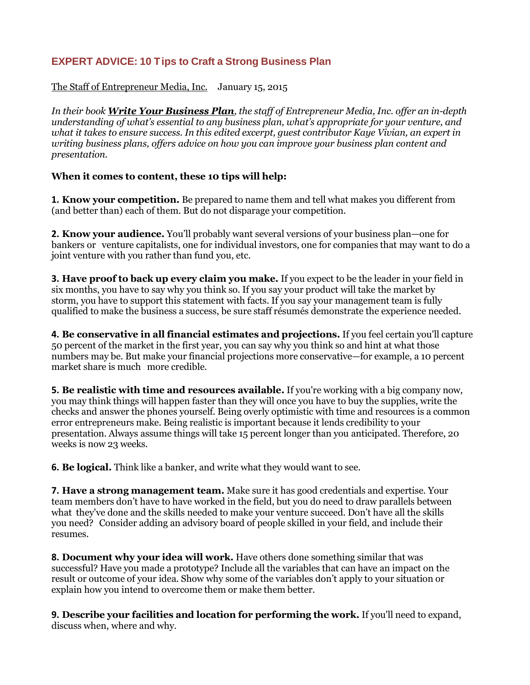# **EXPERT ADVICE: 10 Tips to Craft a Strong Business Plan**

#### The Staff of [Entrepreneur](http://www.entrepreneur.com/author/the-staff-of-entrepreneur-media-inc) Media, Inc. January 15, 2015

*In their book Write Your [Business](http://bookstore.entrepreneur.com/product/write-your-business-plan/?ctp=Press&cnm=Editors&src=Excerpt) Plan, the staff of Entrepreneur Media, Inc. offer an in-depth understanding of what's essential to any business plan, what's appropriate for your venture, and what it takes to ensure success. In this edited excerpt, guest contributor Kaye Vivian, an expert in writing business plans, offers advice on how you can improve your business plan content and presentation.*

#### **When it comes to content, these 10 tips will help:**

**1. Know your competition.** Be prepared to name them and tell what makes you different from (and better than) each of them. But do not disparage your competition.

**2. Know your audience.** You'll probably want several versions of your business plan—one for bankers or venture capitalists, one for individual investors, one for companies that may want to do a joint venture with you rather than fund you, etc.

**3. Have proof to back up every claim you make.** If you expect to be the leader in your field in six months, you have to say why you think so. If you say your product will take the market by storm, you have to support this statement with facts. If you say your management team is fully qualified to make the business a success, be sure staff résumés demonstrate the experience needed.

**4. Be conservative in all financial estimates and projections.** If you feel certain you'll capture 50 percent of the market in the first year, you can say why you think so and hint at what those numbers may be. But make your financial projections more conservative—for example, a 10 percent market share is much more credible.

**5. Be realistic with time and resources available.** If you're working with a big company now, you may think things will happen faster than they will once you have to buy the supplies, write the checks and answer the phones yourself. Being overly optimistic with time and resources is a common error entrepreneurs make. Being realistic is important because it lends credibility to your presentation. Always assume things will take 15 percent longer than you anticipated. Therefore, 20 weeks is now 23 weeks.

**6. Be logical.** Think like a banker, and write what they would want to see.

**7. Have a strong management team.** Make sure it has good credentials and expertise. Your team members don't have to have worked in the field, but you do need to draw parallels between what they've done and the skills needed to make your venture succeed. Don't have all the skills you need? Consider adding an advisory board of people skilled in your field, and include their resumes.

**8. Document why your idea will work.** Have others done something similar that was successful? Have you made a prototype? Include all the variables that can have an impact on the result or outcome of your idea. Show why some of the variables don't apply to your situation or explain how you intend to overcome them or make them better.

**9. Describe your facilities and location for performing the work.** If you'll need to expand, discuss when, where and why.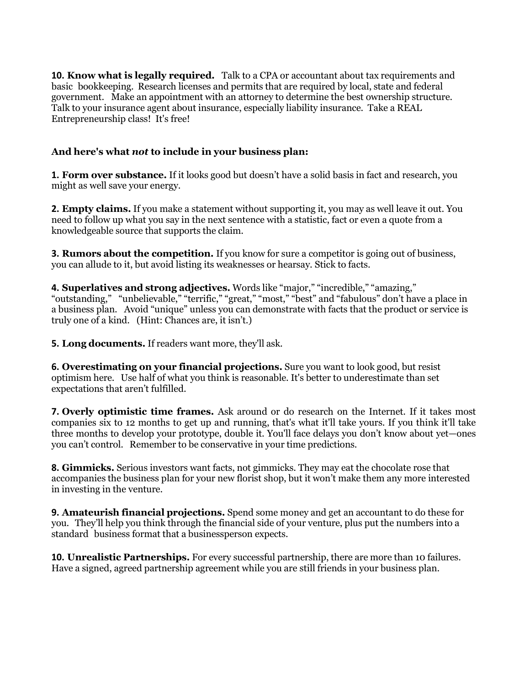**10. Know what is legally required.** Talk to a CPA or accountant about tax requirements and basic bookkeeping. Research licenses and permits that are required by local, state and federal government. Make an appointment with an attorney to determine the best ownership structure. Talk to your insurance agent about insurance, especially liability insurance. Take a REAL Entrepreneurship class! It's free!

#### **And here's what** *not* **to include in your business plan:**

**1. Form over substance.** If it looks good but doesn't have a solid basis in fact and research, you might as well save your energy.

**2. Empty claims.** If you make a statement without supporting it, you may as well leave it out. You need to follow up what you say in the next sentence with a statistic, fact or even a quote from a knowledgeable source that supports the claim.

**3. Rumors about the competition.** If you know for sure a competitor is going out of business, you can allude to it, but avoid listing its weaknesses or hearsay. Stick to facts.

**4. Superlatives and strong adjectives.** Words like "major," "incredible," "amazing," "outstanding," "unbelievable," "terrific," "great," "most," "best" and "fabulous" don't have a place in a business plan. Avoid "unique" unless you can demonstrate with facts that the product or service is truly one of a kind. (Hint: Chances are, it isn't.)

**5. Long documents.** If readers want more, they'll ask.

**6. Overestimating on your financial projections.** Sure you want to look good, but resist optimism here. Use half of what you think is reasonable. It's better to underestimate than set expectations that aren't fulfilled.

**7. Overly optimistic time frames.** Ask around or do research on the Internet. If it takes most companies six to 12 months to get up and running, that's what it'll take yours. If you think it'll take three months to develop your prototype, double it. You'll face delays you don't know about yet—ones you can't control. Remember to be conservative in your time predictions.

**8. Gimmicks.** Serious investors want facts, not gimmicks. They may eat the chocolate rose that accompanies the business plan for your new florist shop, but it won't make them any more interested in investing in the venture.

**9. Amateurish financial projections.** Spend some money and get an accountant to do these for you. They'll help you think through the financial side of your venture, plus put the numbers into a standard business format that a businessperson expects.

**10. Unrealistic Partnerships.** For every successful partnership, there are more than 10 failures. Have a signed, agreed partnership agreement while you are still friends in your business plan.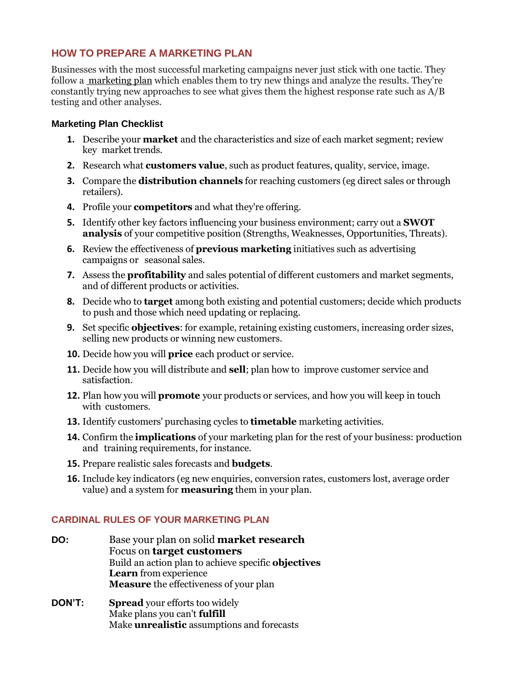#### **HOW TO PREPARE A MARKETING PLAN**

Businesses with the most successful marketing campaigns never just stick with one tactic. They follow a marketing plan which enables them to try new things and analyze the results. They're constantly trying new approaches to see what gives them the highest response rate such as A/B testing and other analyses.

#### **Marketing Plan Checklist**

- **1.** Describe your **market** and the characteristics and size of each market segment; review key market trends.
- **2.** Research what **customers value**, such as product features, quality, service, image.
- **3.** Compare the **distribution channels** for reaching customers (eg direct sales or through retailers).
- **4.** Profile your **competitors** and what they're offering.
- **5.** Identify other key factors influencing your business environment; carry out a **SWOT analysis** of your competitive position (Strengths, Weaknesses, Opportunities, Threats).
- **6.** Review the effectiveness of **previous marketing** initiatives such as advertising campaigns or seasonal sales.
- **7.** Assess the **profitability** and sales potential of different customers and market segments, and of different products or activities.
- **8.** Decide who to **target** among both existing and potential customers; decide which products to push and those which need updating or replacing.
- **9.** Set specific **objectives**: for example, retaining existing customers, increasing order sizes, selling new products or winning new customers.
- **10.** Decide how you will **price** each product or service.
- **11.** Decide how you will distribute and **sell**; plan how to improve customer service and satisfaction.
- **12.** Plan how you will **promote** your products or services, and how you will keep in touch with customers.
- **13.** Identify customers' purchasing cycles to **timetable** marketing activities.
- **14.** Confirm the **implications** of your marketing plan for the rest of your business: production and training requirements, for instance.
- **15.** Prepare realistic sales forecasts and **budgets**.
- **16.** Include key indicators (eg new enquiries, conversion rates, customers lost, average order value) and a system for **measuring** them in your plan.

#### **CARDINAL RULES OF YOUR MARKETING PLAN**

- **DO:** Base your plan on solid **market research** Focus on **target customers** Build an action plan to achieve specific **objectives Learn** from experience **Measure** the effectiveness of your plan
- **DON'T: Spread** your efforts too widely Make plans you can't **fulfill** Make **unrealistic** assumptions and forecasts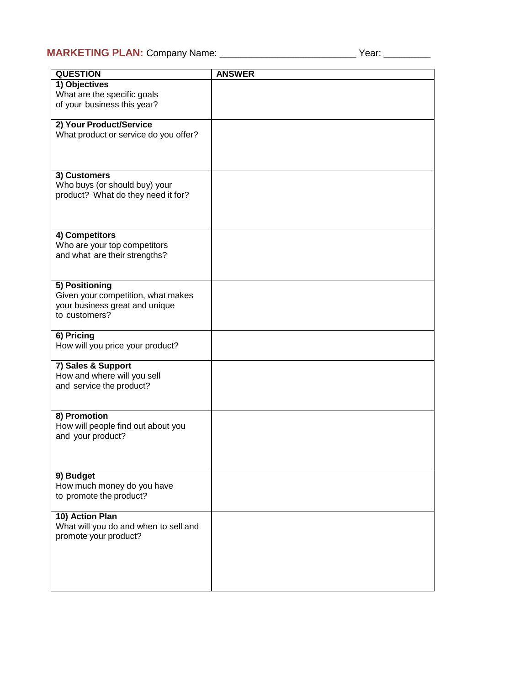# **MARKETING PLAN:** Company Name: \_\_\_\_\_\_\_\_\_\_\_\_\_\_\_\_\_\_\_\_\_\_\_\_\_\_ Year: \_\_\_\_\_\_\_\_\_

| <b>QUESTION</b>                                    | <b>ANSWER</b> |
|----------------------------------------------------|---------------|
| 1) Objectives                                      |               |
| What are the specific goals                        |               |
| of your business this year?                        |               |
|                                                    |               |
| 2) Your Product/Service                            |               |
| What product or service do you offer?              |               |
|                                                    |               |
|                                                    |               |
| 3) Customers                                       |               |
| Who buys (or should buy) your                      |               |
| product? What do they need it for?                 |               |
|                                                    |               |
|                                                    |               |
|                                                    |               |
| 4) Competitors                                     |               |
| Who are your top competitors                       |               |
| and what are their strengths?                      |               |
|                                                    |               |
| 5) Positioning                                     |               |
| Given your competition, what makes                 |               |
| your business great and unique                     |               |
| to customers?                                      |               |
|                                                    |               |
| 6) Pricing<br>How will you price your product?     |               |
|                                                    |               |
| 7) Sales & Support                                 |               |
| How and where will you sell                        |               |
| and service the product?                           |               |
|                                                    |               |
|                                                    |               |
| 8) Promotion<br>How will people find out about you |               |
| and your product?                                  |               |
|                                                    |               |
|                                                    |               |
|                                                    |               |
| 9) Budget                                          |               |
| How much money do you have                         |               |
| to promote the product?                            |               |
| 10) Action Plan                                    |               |
| What will you do and when to sell and              |               |
| promote your product?                              |               |
|                                                    |               |
|                                                    |               |
|                                                    |               |
|                                                    |               |
|                                                    |               |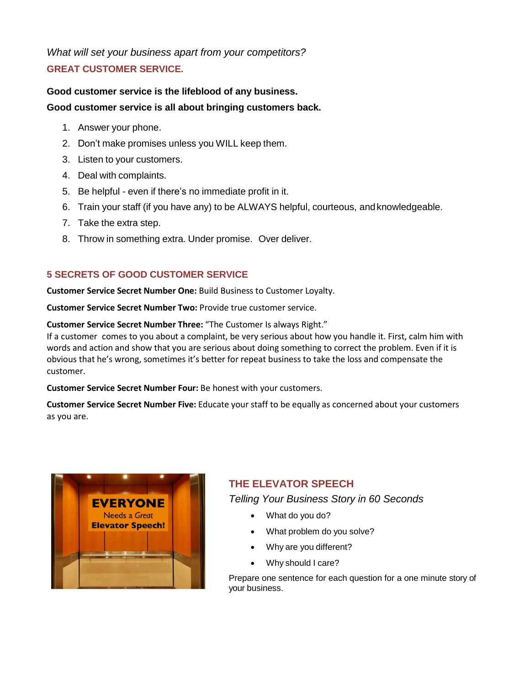# *What will set your business apart from your competitors?* **GREAT CUSTOMER SERVICE.**

# **Good customer service is the lifeblood of any business. Good customer service is all about bringing customers back.**

- 1. Answer your phone.
- 2. Don't make promises unless you WILL keep them.
- 3. Listen to your customers.
- 4. Deal with complaints.
- 5. Be helpful even if there's no immediate profit in it.
- 6. Train your staff (if you have any) to be ALWAYS helpful, courteous, andknowledgeable.
- 7. Take the extra step.
- 8. Throw in something extra. Under promise. Over deliver.

### **5 SECRETS OF GOOD CUSTOMER SERVICE**

**Customer Service Secret Number One:** Build Business to Customer Loyalty.

**Customer Service Secret Number Two:** Provide true customer service.

#### **Customer Service Secret Number Three:** "The Customer Is always Right."

If a customer comes to you about a complaint, be very serious about how you handle it. First, calm him with words and action and show that you are serious about doing something to correct the problem. Even if it is obvious that he's wrong, sometimes it's better for repeat business to take the loss and compensate the customer.

**Customer Service Secret Number Four:** Be honest with your customers.

**Customer Service Secret Number Five:** Educate your staff to be equally as concerned about your customers as you are.



# **THE ELEVATOR SPEECH**

*Telling Your Business Story in 60 Seconds*

- What do you do?
- What problem do you solve?
- Why are you different?
- Why should I care?

Prepare one sentence for each question for a one minute story of your business.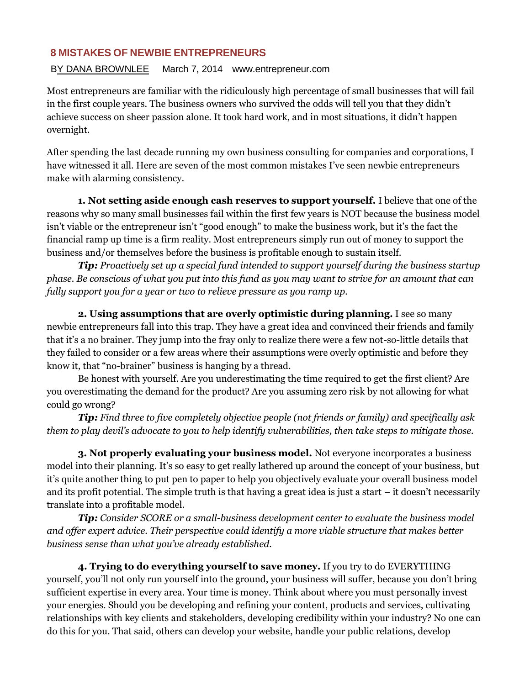#### **8 MISTAKES OF NEWBIE ENTREPRENEURS**

#### BY DANA BROWNLEE March 7, 2014 [www.entrepreneur.com](http://www.entrepreneur.com/)

Most entrepreneurs are familiar with the ridiculously high percentage of small businesses that will fail in the first couple years. The business owners who survived the odds will tell you that they didn't achieve success on sheer passion alone. It took hard work, and in most situations, it didn't happen overnight.

After spending the last decade running my own business consulting for companies and corporations, I have witnessed it all. Here are seven of the most common mistakes I've seen newbie entrepreneurs make with alarming consistency.

**1. Not setting aside enough cash reserves to support yourself.** I believe that one of the reasons why so many small businesses fail within the first few years is NOT because the business model isn't viable or the entrepreneur isn't "good enough" to make the business work, but it's the fact the financial ramp up time is a firm reality. Most entrepreneurs simply run out of money to support the business and/or themselves before the business is profitable enough to sustain itself.

*Tip: Proactively set up a special fund intended to support yourself during the business startup phase. Be conscious of what you put into this fund as you may want to strive for an amount that can fully support you for a year or two to relieve pressure as you ramp up.*

**2. Using assumptions that are overly optimistic during planning.** I see so many newbie entrepreneurs fall into this trap. They have a great idea and convinced their friends and family that it's a no brainer. They jump into the fray only to realize there were a few not-so-little details that they failed to consider or a few areas where their assumptions were overly optimistic and before they know it, that "no-brainer" business is hanging by a thread.

Be honest with yourself. Are you underestimating the time required to get the first client? Are you overestimating the demand for the product? Are you assuming zero risk by not allowing for what could go wrong?

*Tip: Find three to five completely objective people (not friends or family) and specifically ask them to play devil's advocate to you to help identify vulnerabilities, then take steps to mitigate those.*

**3. Not properly evaluating your business model.** Not everyone incorporates a business model into their planning. It's so easy to get really lathered up around the concept of your business, but it's quite another thing to put pen to paper to help you objectively evaluate your overall business model and its profit potential. The simple truth is that having a great idea is just a start – it doesn't necessarily translate into a profitable model.

*Tip: Consider SCORE or a small-business development center to evaluate the business model and offer expert advice. Their perspective could identify a more viable structure that makes better business sense than what you've already established.*

**4. Trying to do everything yourself to save money.** If you try to do EVERYTHING yourself, you'll not only run yourself into the ground, your business will suffer, because you don't bring sufficient expertise in every area. Your time is money. Think about where you must personally invest your energies. Should you be developing and refining your content, products and services, cultivating relationships with key clients and stakeholders, developing credibility within your industry? No one can do this for you. That said, others can develop your website, handle your public relations, develop